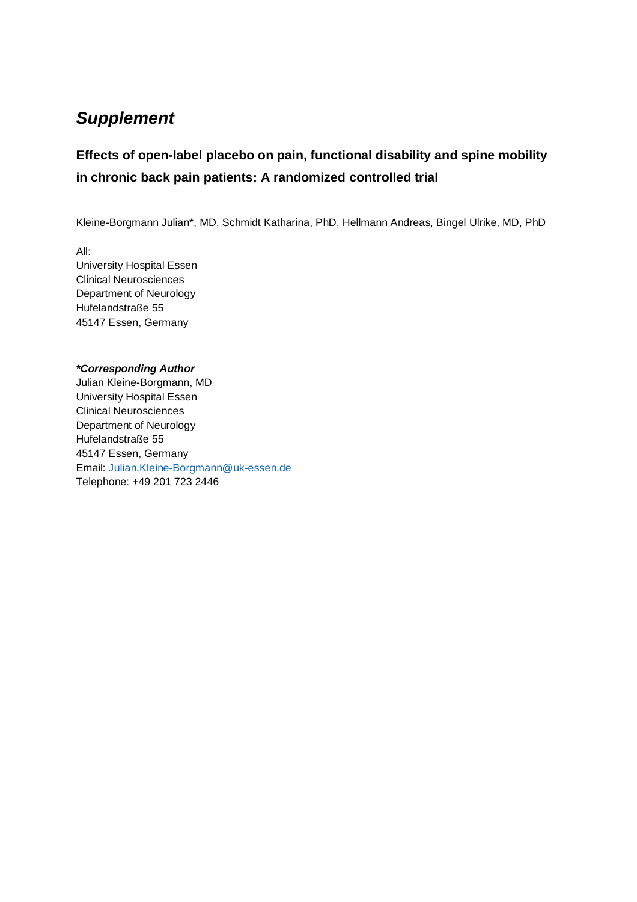# *Supplement*

## **Effects of open-label placebo on pain, functional disability and spine mobility in chronic back pain patients: A randomized controlled trial**

Kleine-Borgmann Julian\*, MD, Schmidt Katharina, PhD, Hellmann Andreas, Bingel Ulrike, MD, PhD

All: University Hospital Essen Clinical Neurosciences Department of Neurology Hufelandstraße 55 45147 Essen, Germany

### *\*Corresponding Author*

Julian Kleine-Borgmann, MD University Hospital Essen Clinical Neurosciences Department of Neurology Hufelandstraße 55 45147 Essen, Germany Email: [Julian.Kleine-Borgmann@uk-essen.de](mailto:Julian.Kleine-Borgmann@uk-essen.de) Telephone: +49 201 723 2446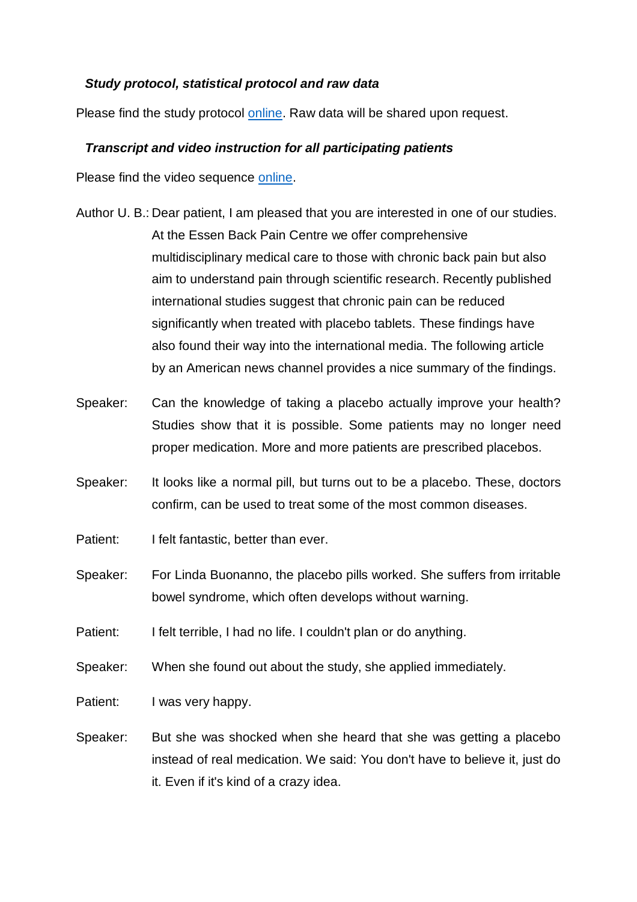### *Study protocol, statistical protocol and raw data*

Please find the study protocol [online.](https://www.drks.de/drks_web/AttachmentDownstreamServlet?ID=fff37490-8ac2-4213-9372-c7956843c0e1&LOCALE=en&FILENAME=Study%20Protocol_en_ver2.pdf) Raw data will be shared upon request.

## *Transcript and video instruction for all participating patients*

Please find the video sequence [online.](https://mfr.de-1.osf.io/render?url=https://osf.io/c2wb9/?action=download%26mode=render)

- Author U. B.: Dear patient, I am pleased that you are interested in one of our studies. At the Essen Back Pain Centre we offer comprehensive multidisciplinary medical care to those with chronic back pain but also aim to understand pain through scientific research. Recently published international studies suggest that chronic pain can be reduced significantly when treated with placebo tablets. These findings have also found their way into the international media. The following article by an American news channel provides a nice summary of the findings.
- Speaker: Can the knowledge of taking a placebo actually improve your health? Studies show that it is possible. Some patients may no longer need proper medication. More and more patients are prescribed placebos.
- Speaker: It looks like a normal pill, but turns out to be a placebo. These, doctors confirm, can be used to treat some of the most common diseases.
- Patient: I felt fantastic, better than ever.
- Speaker: For Linda Buonanno, the placebo pills worked. She suffers from irritable bowel syndrome, which often develops without warning.

Patient: I felt terrible, I had no life. I couldn't plan or do anything.

Speaker: When she found out about the study, she applied immediately.

Patient: I was very happy.

Speaker: But she was shocked when she heard that she was getting a placebo instead of real medication. We said: You don't have to believe it, just do it. Even if it's kind of a crazy idea.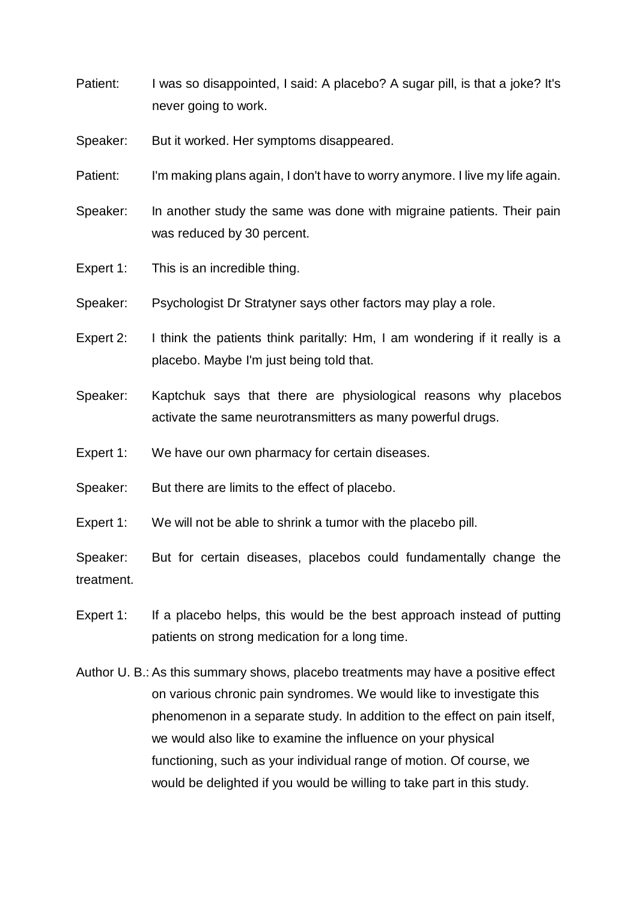- Patient: I was so disappointed, I said: A placebo? A sugar pill, is that a joke? It's never going to work.
- Speaker: But it worked. Her symptoms disappeared.
- Patient: I'm making plans again, I don't have to worry anymore. I live my life again.
- Speaker: In another study the same was done with migraine patients. Their pain was reduced by 30 percent.
- Expert 1: This is an incredible thing.
- Speaker: Psychologist Dr Stratyner says other factors may play a role.
- Expert 2: I think the patients think paritally: Hm, I am wondering if it really is a placebo. Maybe I'm just being told that.
- Speaker: Kaptchuk says that there are physiological reasons why placebos activate the same neurotransmitters as many powerful drugs.
- Expert 1: We have our own pharmacy for certain diseases.
- Speaker: But there are limits to the effect of placebo.
- Expert 1: We will not be able to shrink a tumor with the placebo pill.

Speaker: But for certain diseases, placebos could fundamentally change the treatment.

- Expert 1: If a placebo helps, this would be the best approach instead of putting patients on strong medication for a long time.
- Author U. B.: As this summary shows, placebo treatments may have a positive effect on various chronic pain syndromes. We would like to investigate this phenomenon in a separate study. In addition to the effect on pain itself, we would also like to examine the influence on your physical functioning, such as your individual range of motion. Of course, we would be delighted if you would be willing to take part in this study.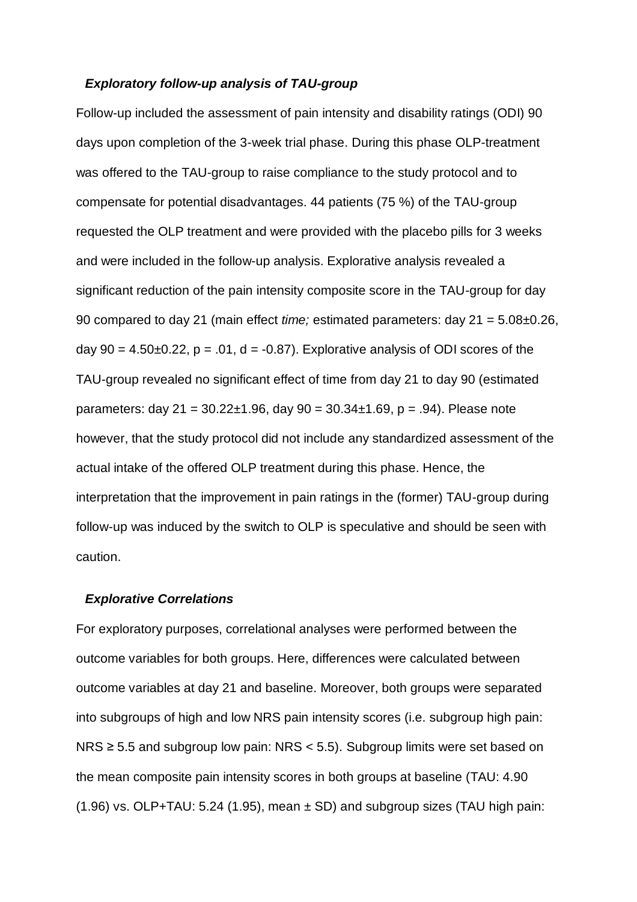### *Exploratory follow-up analysis of TAU-group*

Follow-up included the assessment of pain intensity and disability ratings (ODI) 90 days upon completion of the 3-week trial phase. During this phase OLP-treatment was offered to the TAU-group to raise compliance to the study protocol and to compensate for potential disadvantages. 44 patients (75 %) of the TAU-group requested the OLP treatment and were provided with the placebo pills for 3 weeks and were included in the follow-up analysis. Explorative analysis revealed a significant reduction of the pain intensity composite score in the TAU-group for day 90 compared to day 21 (main effect *time;* estimated parameters: day 21 = 5.08±0.26, day  $90 = 4.50 \pm 0.22$ ,  $p = .01$ ,  $d = -0.87$ ). Explorative analysis of ODI scores of the TAU-group revealed no significant effect of time from day 21 to day 90 (estimated parameters: day  $21 = 30.22 \pm 1.96$ , day  $90 = 30.34 \pm 1.69$ , p = .94). Please note however, that the study protocol did not include any standardized assessment of the actual intake of the offered OLP treatment during this phase. Hence, the interpretation that the improvement in pain ratings in the (former) TAU-group during follow-up was induced by the switch to OLP is speculative and should be seen with caution.

### *Explorative Correlations*

For exploratory purposes, correlational analyses were performed between the outcome variables for both groups. Here, differences were calculated between outcome variables at day 21 and baseline. Moreover, both groups were separated into subgroups of high and low NRS pain intensity scores (i.e. subgroup high pain: NRS ≥ 5.5 and subgroup low pain: NRS < 5.5). Subgroup limits were set based on the mean composite pain intensity scores in both groups at baseline (TAU: 4.90  $(1.96)$  vs. OLP+TAU: 5.24 (1.95), mean  $\pm$  SD) and subgroup sizes (TAU high pain: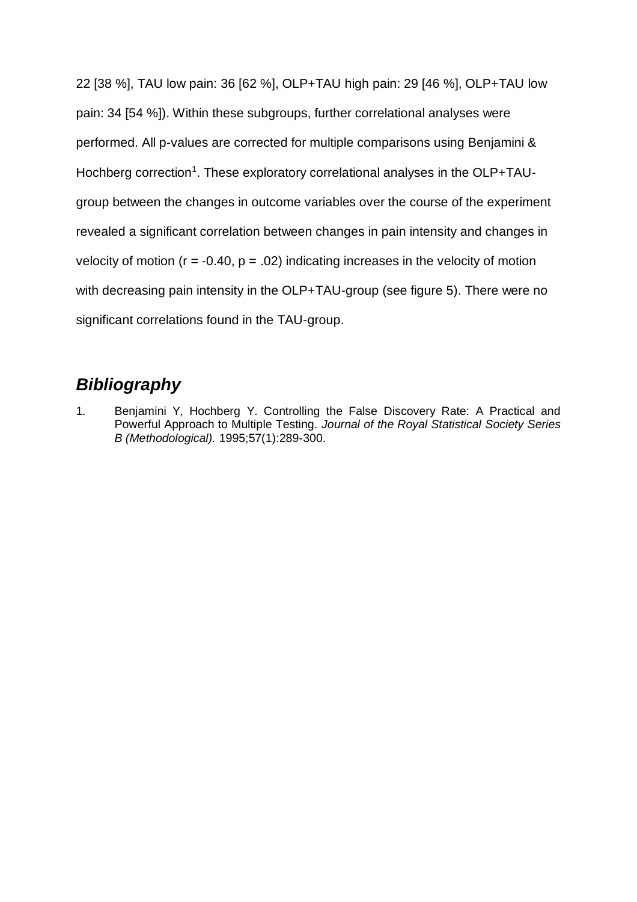22 [38 %], TAU low pain: 36 [62 %], OLP+TAU high pain: 29 [46 %], OLP+TAU low pain: 34 [54 %]). Within these subgroups, further correlational analyses were performed. All p-values are corrected for multiple comparisons using Benjamini & Hochberg correction<sup>1</sup>. These exploratory correlational analyses in the OLP+TAUgroup between the changes in outcome variables over the course of the experiment revealed a significant correlation between changes in pain intensity and changes in velocity of motion ( $r = -0.40$ ,  $p = .02$ ) indicating increases in the velocity of motion with decreasing pain intensity in the OLP+TAU-group (see figure 5). There were no significant correlations found in the TAU-group.

## *Bibliography*

1. Benjamini Y, Hochberg Y. Controlling the False Discovery Rate: A Practical and Powerful Approach to Multiple Testing. *Journal of the Royal Statistical Society Series B (Methodological).* 1995;57(1):289-300.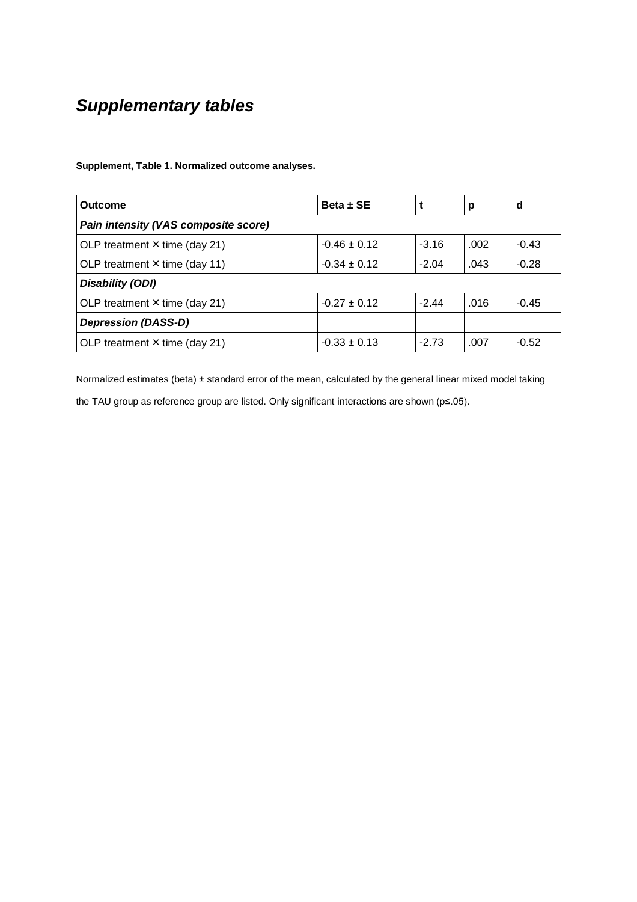# *Supplementary tables*

**Supplement, Table 1. Normalized outcome analyses.**

| Outcome                              | $Beta \pm SE$    |         | р    | d       |  |  |  |  |
|--------------------------------------|------------------|---------|------|---------|--|--|--|--|
| Pain intensity (VAS composite score) |                  |         |      |         |  |  |  |  |
| OLP treatment $x$ time (day 21)      | $-0.46 \pm 0.12$ | $-3.16$ | .002 | $-0.43$ |  |  |  |  |
| OLP treatment $x$ time (day 11)      | $-0.34 \pm 0.12$ | $-2.04$ |      |         |  |  |  |  |
| Disability (ODI)                     |                  |         |      |         |  |  |  |  |
| OLP treatment $x$ time (day 21)      | $-0.27 \pm 0.12$ | $-2.44$ | .016 | $-0.45$ |  |  |  |  |
| <b>Depression (DASS-D)</b>           |                  |         |      |         |  |  |  |  |
| OLP treatment $x$ time (day 21)      | $-0.33 \pm 0.13$ | $-2.73$ | .007 | $-0.52$ |  |  |  |  |

Normalized estimates (beta)  $\pm$  standard error of the mean, calculated by the general linear mixed model taking the TAU group as reference group are listed. Only significant interactions are shown (p≤.05).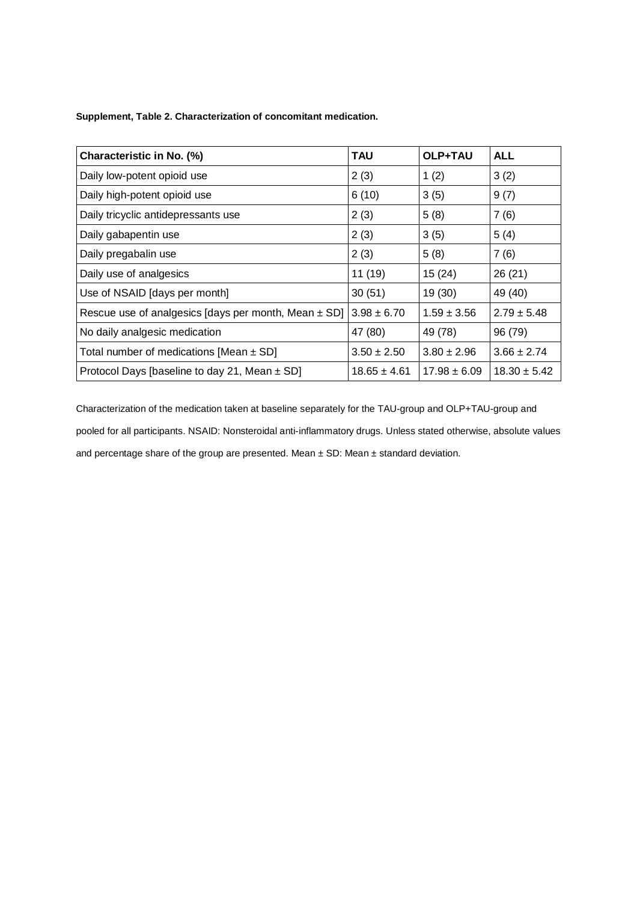**Supplement, Table 2. Characterization of concomitant medication.**

| Characteristic in No. (%)                            | <b>TAU</b>       | OLP+TAU          | <b>ALL</b>      |
|------------------------------------------------------|------------------|------------------|-----------------|
| Daily low-potent opioid use                          | 2(3)             | 1(2)             | 3(2)            |
| Daily high-potent opioid use                         | 6(10)            | 3(5)             | 9(7)            |
| Daily tricyclic antidepressants use                  | 2(3)             | 5(8)             | 7(6)            |
| Daily gabapentin use                                 | 2(3)             | 3(5)             | 5(4)            |
| Daily pregabalin use                                 | 2(3)             | 5(8)             | 7(6)            |
| Daily use of analgesics                              | 11(19)           | 15(24)           | 26(21)          |
| Use of NSAID [days per month]                        | 30(51)           | 19(30)           | 49 (40)         |
| Rescue use of analgesics [days per month, Mean ± SD] | $3.98 \pm 6.70$  | $1.59 \pm 3.56$  | $2.79 \pm 5.48$ |
| No daily analgesic medication                        | 47 (80)          | 49 (78)          | 96 (79)         |
| Total number of medications [Mean $\pm$ SD]          | $3.50 \pm 2.50$  | $3.80 \pm 2.96$  | $3.66 \pm 2.74$ |
| Protocol Days [baseline to day 21, Mean $\pm$ SD]    | $18.65 \pm 4.61$ | $18.30 \pm 5.42$ |                 |

Characterization of the medication taken at baseline separately for the TAU-group and OLP+TAU-group and pooled for all participants. NSAID: Nonsteroidal anti-inflammatory drugs. Unless stated otherwise, absolute values and percentage share of the group are presented. Mean ± SD: Mean ± standard deviation.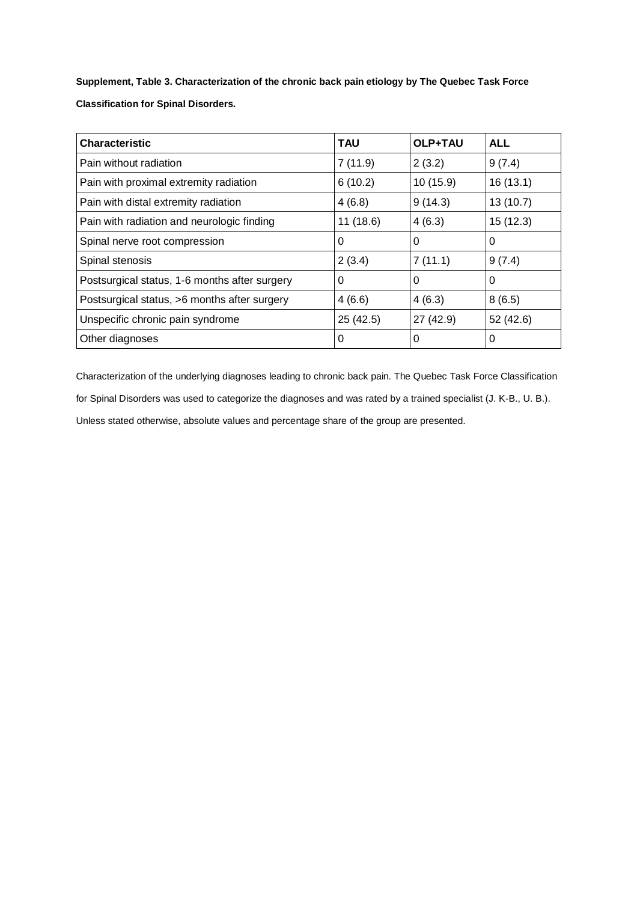**Supplement, Table 3. Characterization of the chronic back pain etiology by The Quebec Task Force Classification for Spinal Disorders.**

| <b>Characteristic</b>                         | <b>TAU</b> | OLP+TAU   | <b>ALL</b> |
|-----------------------------------------------|------------|-----------|------------|
| Pain without radiation                        | 7(11.9)    | 2(3.2)    | 9(7.4)     |
| Pain with proximal extremity radiation        | 6(10.2)    | 10 (15.9) | 16(13.1)   |
| Pain with distal extremity radiation          | 4(6.8)     | 9(14.3)   | 13(10.7)   |
| Pain with radiation and neurologic finding    | 11(18.6)   | 4(6.3)    | 15(12.3)   |
| Spinal nerve root compression                 | 0          | 0         | 0          |
| Spinal stenosis                               | 2(3.4)     | 7(11.1)   | 9(7.4)     |
| Postsurgical status, 1-6 months after surgery | 0          | 0         | 0          |
| Postsurgical status, >6 months after surgery  | 4(6.6)     | 4(6.3)    | 8(6.5)     |
| Unspecific chronic pain syndrome              | 25(42.5)   | 27 (42.9) | 52(42.6)   |
| Other diagnoses                               | 0          | 0         | 0          |

Characterization of the underlying diagnoses leading to chronic back pain. The Quebec Task Force Classification for Spinal Disorders was used to categorize the diagnoses and was rated by a trained specialist (J. K-B., U. B.). Unless stated otherwise, absolute values and percentage share of the group are presented.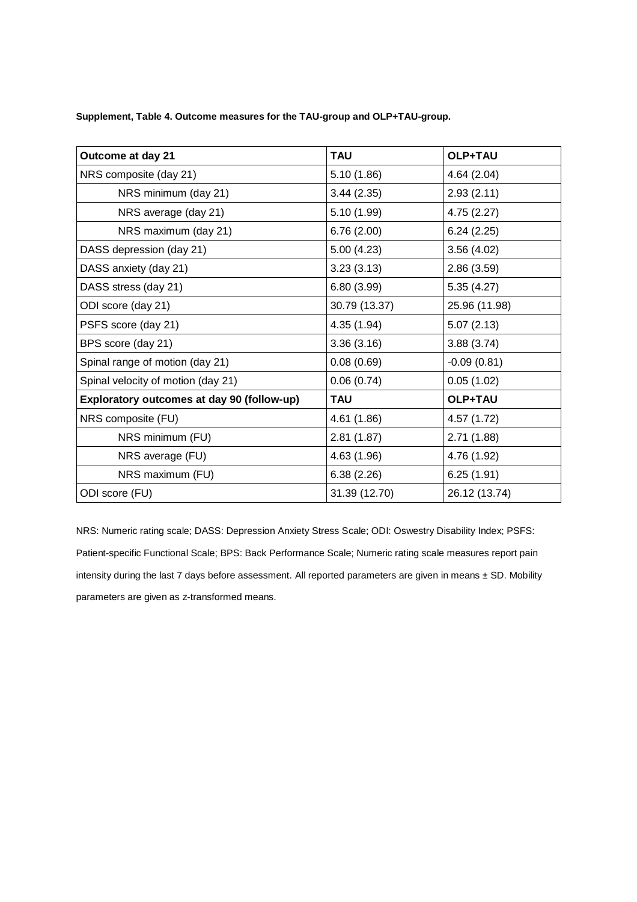**Supplement, Table 4. Outcome measures for the TAU-group and OLP+TAU-group.**

| Outcome at day 21                          | <b>TAU</b><br>OLP+TAU |               |  |  |  |
|--------------------------------------------|-----------------------|---------------|--|--|--|
| NRS composite (day 21)                     | 5.10(1.86)            | 4.64(2.04)    |  |  |  |
| NRS minimum (day 21)                       | 3.44(2.35)            | 2.93(2.11)    |  |  |  |
| NRS average (day 21)                       | 5.10(1.99)            | 4.75(2.27)    |  |  |  |
| NRS maximum (day 21)                       | 6.76(2.00)            | 6.24(2.25)    |  |  |  |
| DASS depression (day 21)                   | 5.00(4.23)            | 3.56(4.02)    |  |  |  |
| DASS anxiety (day 21)                      | 3.23(3.13)            | 2.86(3.59)    |  |  |  |
| DASS stress (day 21)                       | 6.80(3.99)            | 5.35(4.27)    |  |  |  |
| ODI score (day 21)                         | 30.79 (13.37)         | 25.96 (11.98) |  |  |  |
| PSFS score (day 21)                        | 4.35 (1.94)           | 5.07(2.13)    |  |  |  |
| BPS score (day 21)                         | 3.36(3.16)            | 3.88(3.74)    |  |  |  |
| Spinal range of motion (day 21)            | 0.08(0.69)            | $-0.09(0.81)$ |  |  |  |
| Spinal velocity of motion (day 21)         | 0.06(0.74)            | 0.05(1.02)    |  |  |  |
| Exploratory outcomes at day 90 (follow-up) | <b>TAU</b>            | OLP+TAU       |  |  |  |
| NRS composite (FU)                         | 4.61 (1.86)           | 4.57 (1.72)   |  |  |  |
| NRS minimum (FU)                           | 2.81(1.87)            | 2.71(1.88)    |  |  |  |
| NRS average (FU)                           | 4.63 (1.96)           | 4.76 (1.92)   |  |  |  |
| NRS maximum (FU)                           | 6.38(2.26)            | 6.25(1.91)    |  |  |  |
| ODI score (FU)                             | 31.39 (12.70)         | 26.12 (13.74) |  |  |  |

NRS: Numeric rating scale; DASS: Depression Anxiety Stress Scale; ODI: Oswestry Disability Index; PSFS: Patient-specific Functional Scale; BPS: Back Performance Scale; Numeric rating scale measures report pain intensity during the last 7 days before assessment. All reported parameters are given in means ± SD. Mobility parameters are given as z-transformed means.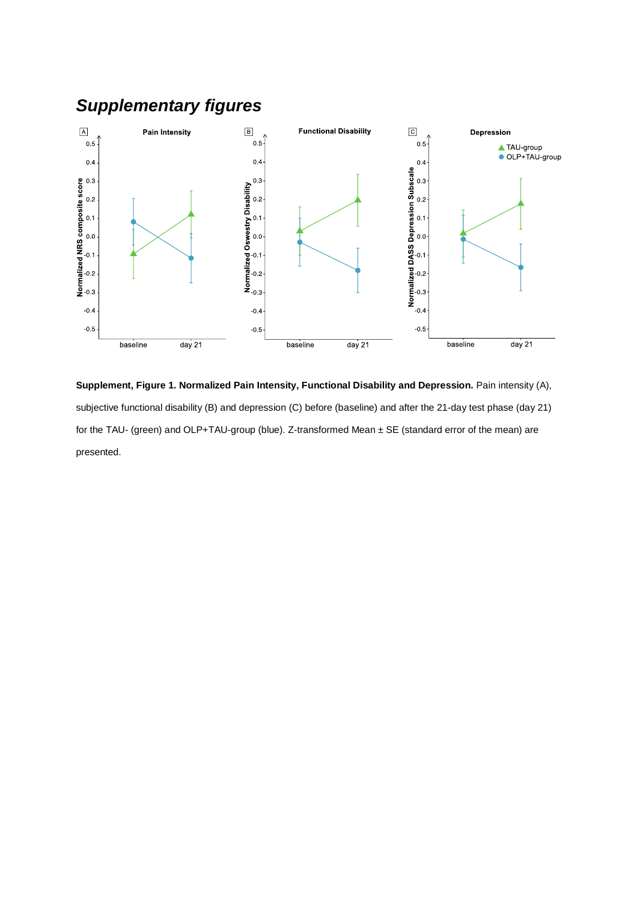

**Supplement, Figure 1. Normalized Pain Intensity, Functional Disability and Depression.** Pain intensity (A), subjective functional disability (B) and depression (C) before (baseline) and after the 21-day test phase (day 21) for the TAU- (green) and OLP+TAU-group (blue). Z-transformed Mean ± SE (standard error of the mean) are presented.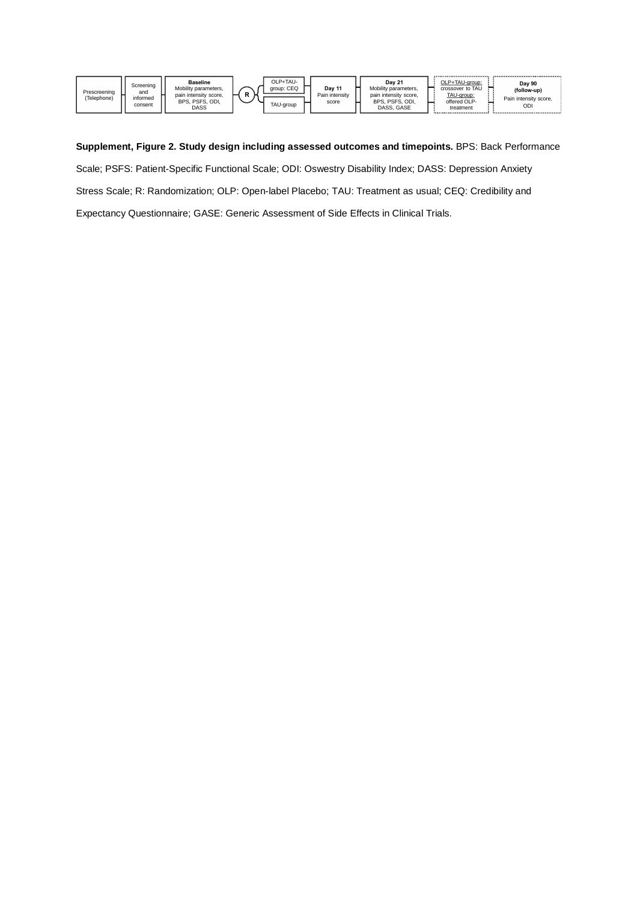| Prescreening<br>(Telephone) | Screening<br>and<br>informed<br>consent | Baseline<br>Mobility parameters.<br>pain intensity score.<br>BPS, PSFS, ODI,<br>DASS | D | OLP+TAU-<br>aroup: CEQ<br>TAU-group | Dav <sub>11</sub><br>Pain intensity<br>score |  | <b>Dav 21</b><br>Mobility parameters.<br>pain intensity score.<br>BPS, PSFS, ODI,<br>DASS, GASE |  | OLP+TAU-group:<br>crossover to TAU<br>TAU-group:<br>offered OLP-<br>treatment<br> |  | Day 90<br>(follow-up)<br>Pain intensity score.<br>ODI |
|-----------------------------|-----------------------------------------|--------------------------------------------------------------------------------------|---|-------------------------------------|----------------------------------------------|--|-------------------------------------------------------------------------------------------------|--|-----------------------------------------------------------------------------------|--|-------------------------------------------------------|
|-----------------------------|-----------------------------------------|--------------------------------------------------------------------------------------|---|-------------------------------------|----------------------------------------------|--|-------------------------------------------------------------------------------------------------|--|-----------------------------------------------------------------------------------|--|-------------------------------------------------------|

**Supplement, Figure 2. Study design including assessed outcomes and timepoints.** BPS: Back Performance Scale; PSFS: Patient-Specific Functional Scale; ODI: Oswestry Disability Index; DASS: Depression Anxiety Stress Scale; R: Randomization; OLP: Open-label Placebo; TAU: Treatment as usual; CEQ: Credibility and Expectancy Questionnaire; GASE: Generic Assessment of Side Effects in Clinical Trials.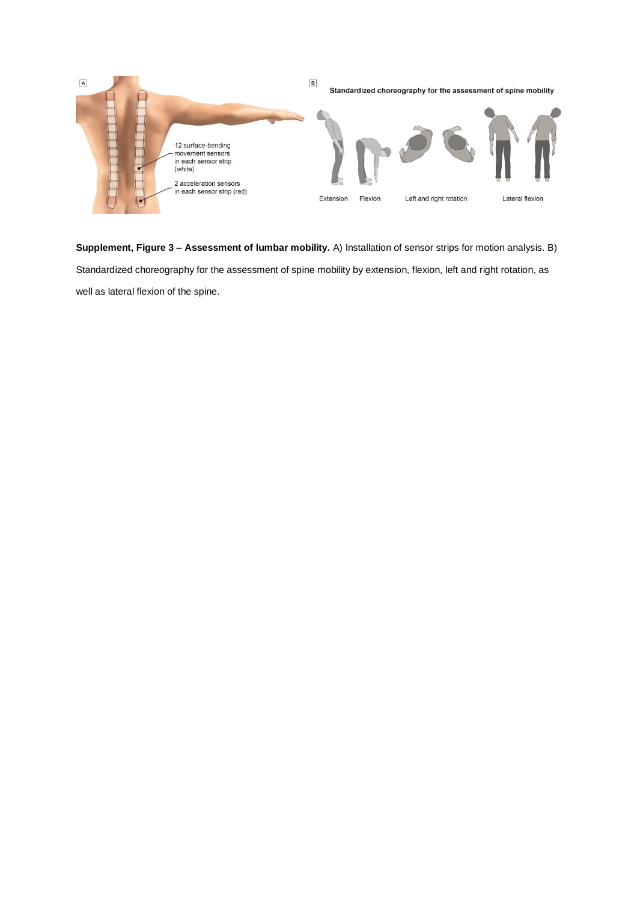

**Supplement, Figure 3 – Assessment of lumbar mobility.** A) Installation of sensor strips for motion analysis. B) Standardized choreography for the assessment of spine mobility by extension, flexion, left and right rotation, as well as lateral flexion of the spine.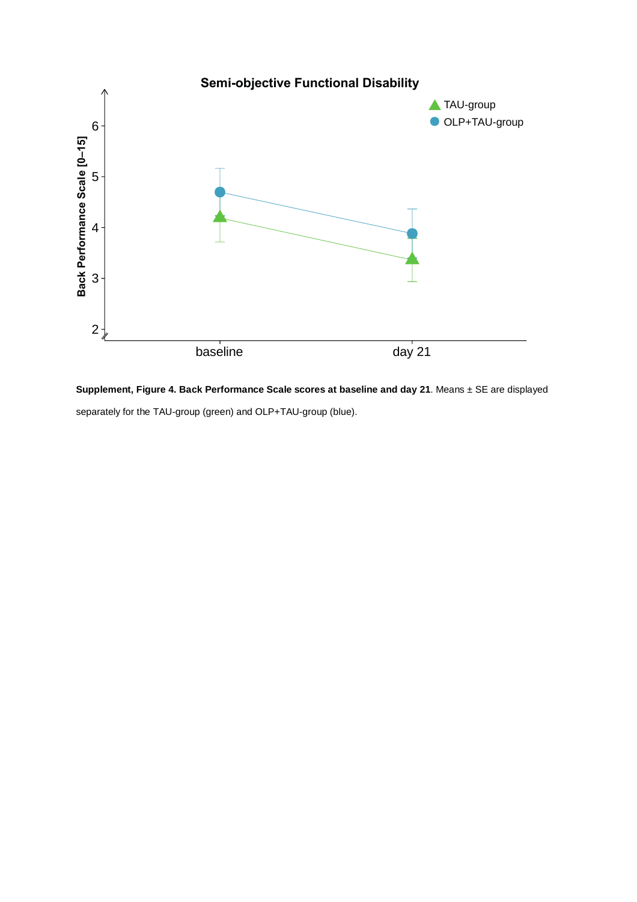

**Supplement, Figure 4. Back Performance Scale scores at baseline and day 21**. Means ± SE are displayed separately for the TAU-group (green) and OLP+TAU-group (blue).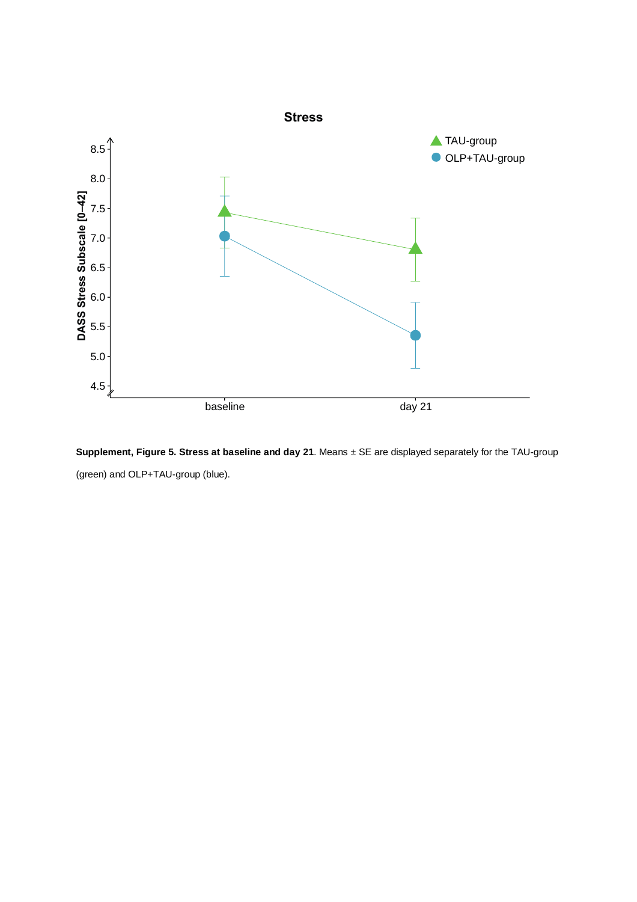

**Supplement, Figure 5. Stress at baseline and day 21**. Means ± SE are displayed separately for the TAU-group (green) and OLP+TAU-group (blue).